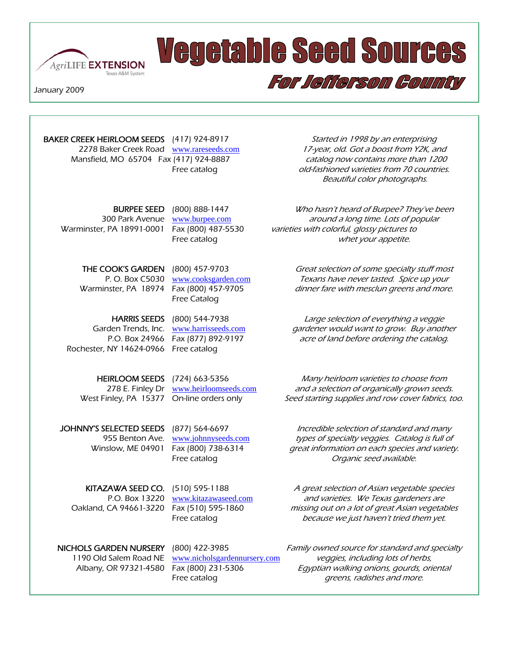

## **Vegetable Seed Sources**

January 2009

I

Γ I

2278 Baker Creek Road www.rareseeds.com 17-year, old. Got a boost from Y2K, and Mansfield, MO 65704 Fax (417) 924-8887 catalog now contains more than 1200

Free Catalog

Rochester, NY 14624-0966 Free catalog

BAKER CREEK HEIRLOOM SEEDS (417) 924-8917 Started in 1998 by an enterprising Free catalog catalog can be allowed varieties from 70 countries. Beautiful color photographs.

For Jefferson County

**BURPEE SEED** (800) 888-1447 *Who hasn't heard of Burpee? They've been* 300 Park Avenue www.burpee.com around a long time. Lots of popular Warminster, PA 18991-0001 Fax (800) 487-5530 varieties with colorful, glossy pictures to Free catalog whet your appetite.

THE COOK'S GARDEN (800) 457-9703 *Great selection of some specialty stuff most* P. O. Box C5030 www.cooksgarden.com Texans have never tasted. Spice up your Warminster, PA 18974 Fax (800) 457-9705 dinner fare with mesclun greens and more.

HARRIS SEEDS (800) 544-7938 Large selection of everything a veggie Garden Trends, Inc. www.harrisseeds.com *gardener would want to grow. Buy another* P.O. Box 24966 Fax (877) 892-9197 *acre of land before ordering the catalog.* 

HEIRLOOM SEEDS (724) 663-5356 Many heirloom varieties to choose from 278 E. Finley Dr www.heirloomseeds.com and a selection of organically grown seeds.<br>West Finley, PA 15377 On-line orders only Seed starting supplies and row cover fabrics, to Seed starting supplies and row cover fabrics, too.

JOHNNY'S SELECTED SEEDS (877) 564-6697 *Incredible selection of standard and many* 955 Benton Ave. www.johnnyseeds.com types of specialty veggies. Catalog is full of Winslow, ME 04901 Fax (800) 738-6314 great information on each species and variety. Free catalog Contract Contract Contract Contract Contract Contract Contract Contract Contract Contract Contract Contract Contract Contract Contract Contract Contract Contract Contract Contract Contract Contract Contract Co

KITAZAWA SEED CO. (510) 595-1188 A great selection of Asian vegetable species P.O. Box 13220 www.kitazawaseed.com and varieties. We Texas gardeners are Oakland, CA 94661-3220 Fax (510) 595-1860 missing out on a lot of great Asian vegetables Free catalog because we just haven't tried them yet.

NICHOLS GARDEN NURSERY (800) 422-3985 Family owned source for standard and specialty 1190 Old Salem Road NE www.nicholsgardennursery.com veggies, including lots of herbs, Albany, OR 97321-4580 Fax (800) 231-5306 *Egyptian walking onions, gourds, oriental* Free catalog greens, radishes and more.